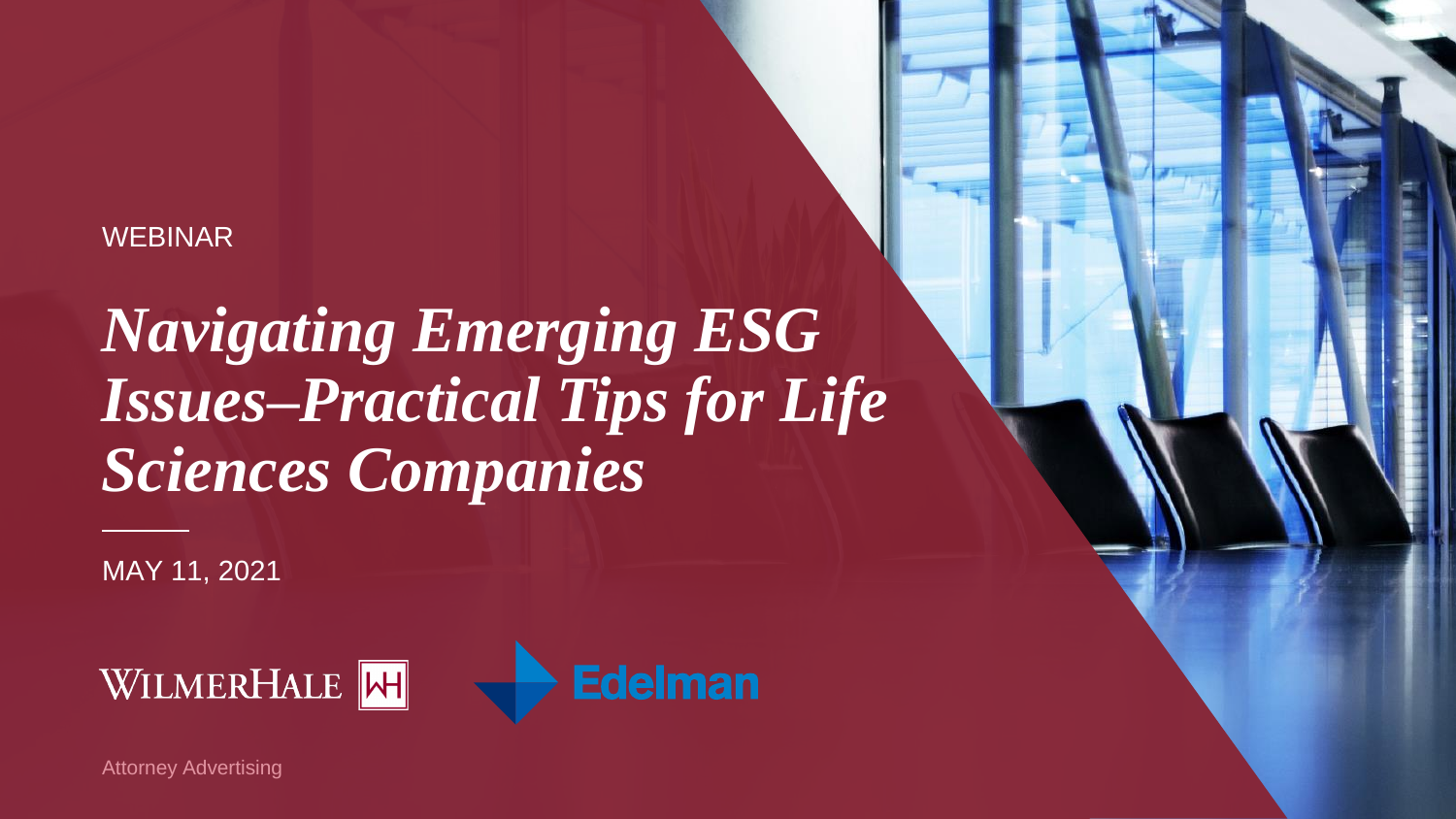# *Navigating Emerging ESG Issues–Practical Tips for Life Sciences Companies*

MAY 11, 2021





### WEBINAR

Attorney Advertising

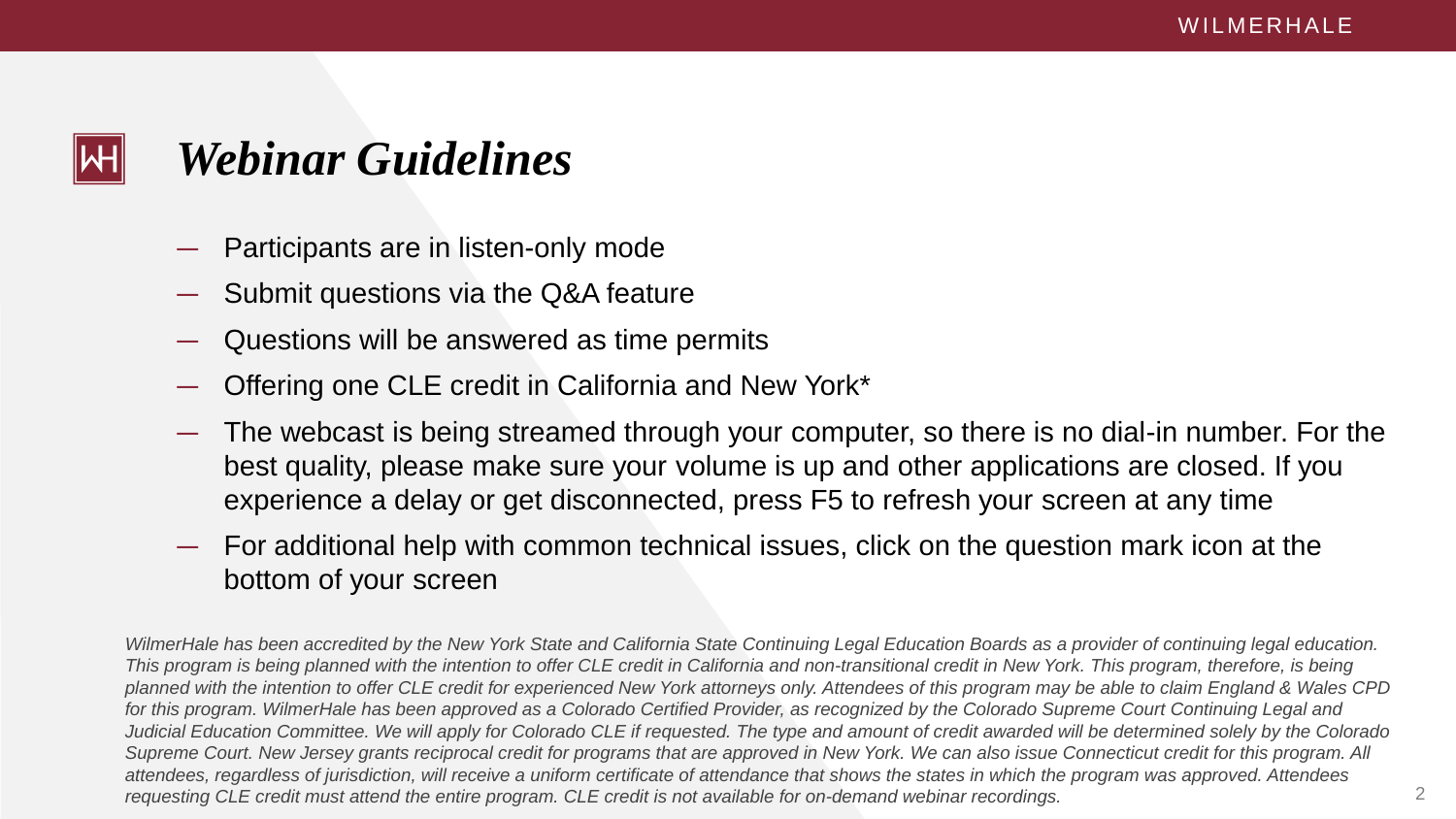## *Webinar Guidelines*

- Participants are in listen-only mode
- Submit questions via the Q&A feature
- Questions will be answered as time permits
- Offering one CLE credit in California and New York\*
- The webcast is being streamed through your computer, so there is no dial-in number. For the best quality, please make sure your volume is up and other applications are closed. If you experience a delay or get disconnected, press F5 to refresh your screen at any time
- For additional help with common technical issues, click on the question mark icon at the bottom of your screen

*WilmerHale has been accredited by the New York State and California State Continuing Legal Education Boards as a provider of continuing legal education. This program is being planned with the intention to offer CLE credit in California and non-transitional credit in New York. This program, therefore, is being planned with the intention to offer CLE credit for experienced New York attorneys only. Attendees of this program may be able to claim England & Wales CPD* for this program. WilmerHale has been approved as a Colorado Certified Provider, as recognized by the Colorado Supreme Court Continuing Legal and Judicial Education Committee. We will apply for Colorado CLE if requested. The type and amount of credit awarded will be determined solely by the Colorado *Supreme Court. New Jersey grants reciprocal credit for programs that are approved in New York. We can also issue Connecticut credit for this program. All*  attendees, regardless of jurisdiction, will receive a uniform certificate of attendance that shows the states in which the program was approved. Attendees *requesting CLE credit must attend the entire program. CLE credit is not available for on-demand webinar recordings.*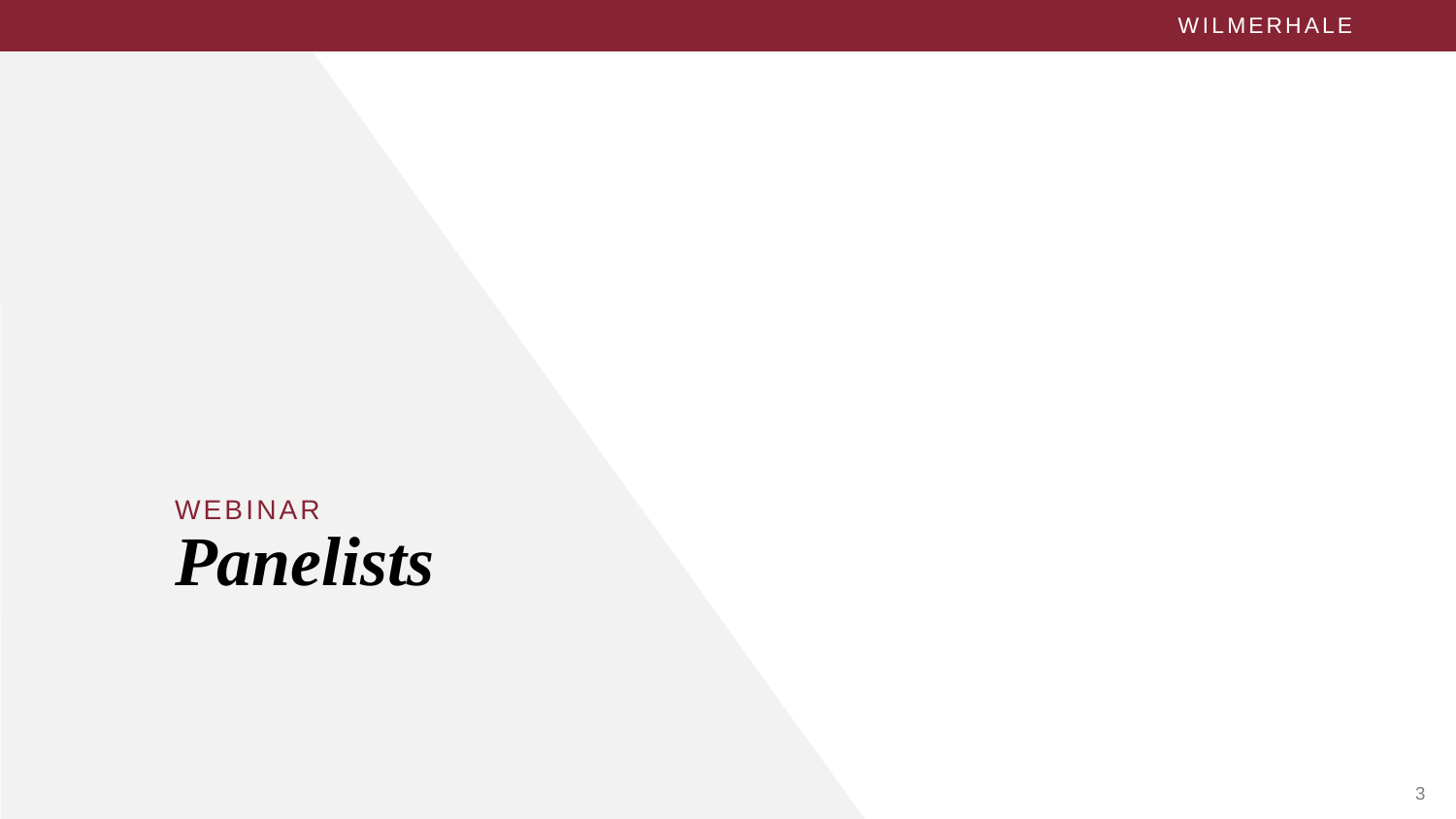WEBINAR *Panelists*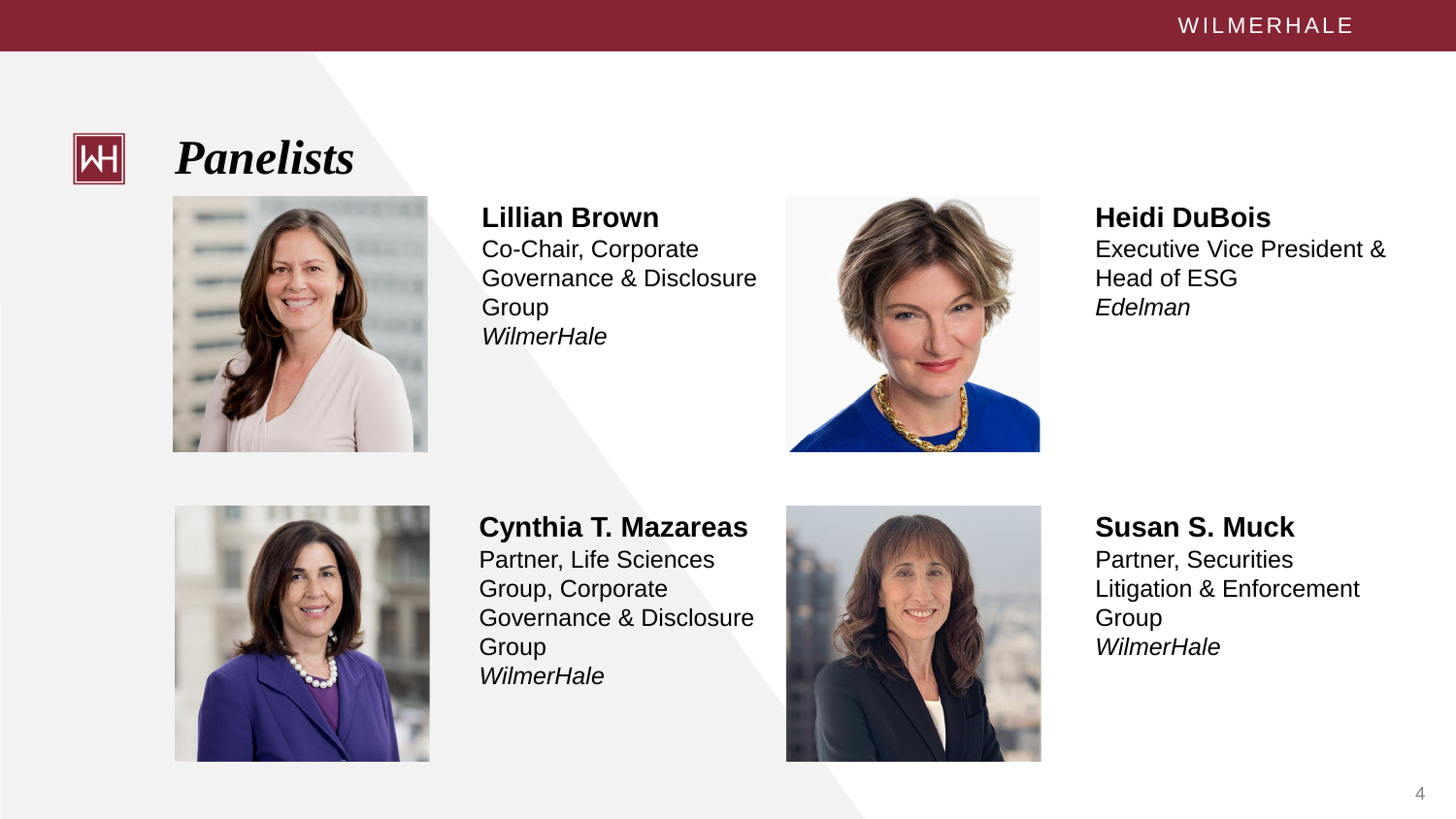

## *Panelists*



### **Lillian Brown**

Co-Chair, Corporate Governance & Disclosure **Group** *WilmerHale*





### **Cynthia T. Mazareas**

Partner, Life Sciences Group, Corporate Governance & Disclosure Group *WilmerHale*



### WILMERHALE

### **Heidi DuBois**

Executive Vice President & Head of ESG *Edelman*

## **Susan S. Muck**

Partner, Securities Litigation & Enforcement Group *WilmerHale*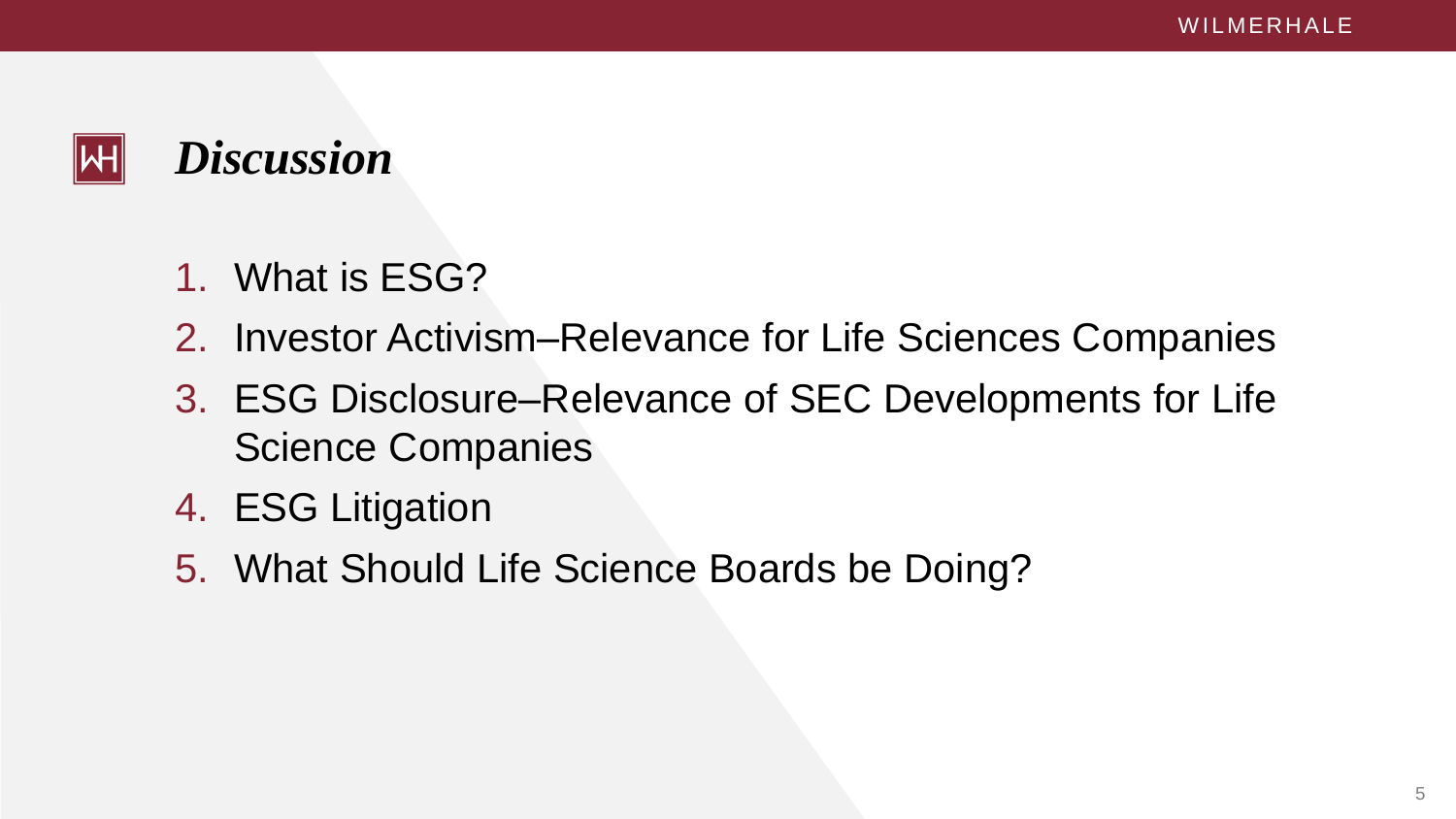

- 1. What is ESG?
- 2. Investor Activism–Relevance for Life Sciences Companies
- 3. ESG Disclosure–Relevance of SEC Developments for Life Science Companies
- 4. ESG Litigation
- 5. What Should Life Science Boards be Doing?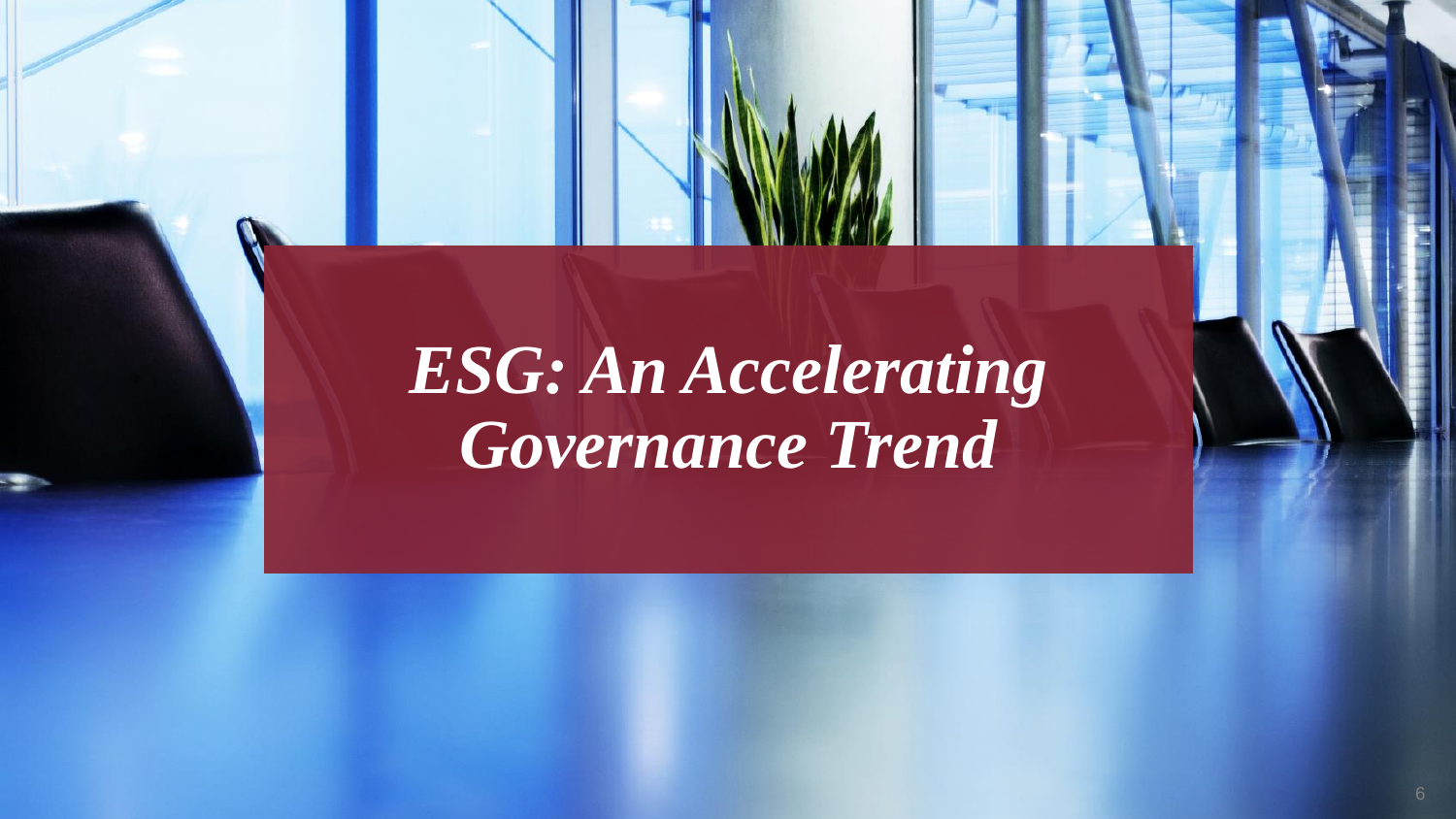# *ESG: An Accelerating Governance Trend*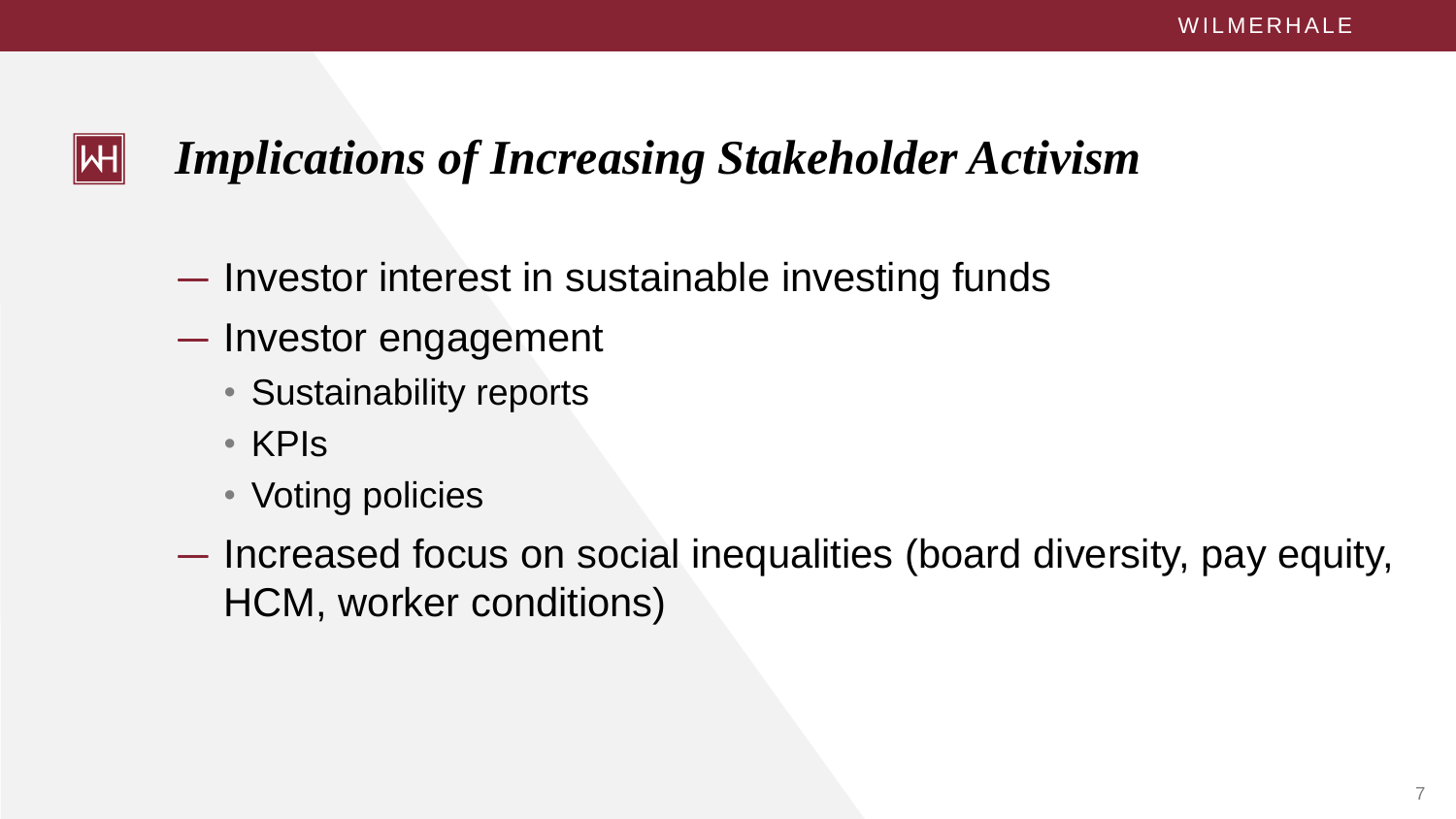## *Implications of Increasing Stakeholder Activism*

- Investor interest in sustainable investing funds
- Investor engagement
	- Sustainability reports
	- KPIs
	- Voting policies
- Increased focus on social inequalities (board diversity, pay equity, HCM, worker conditions)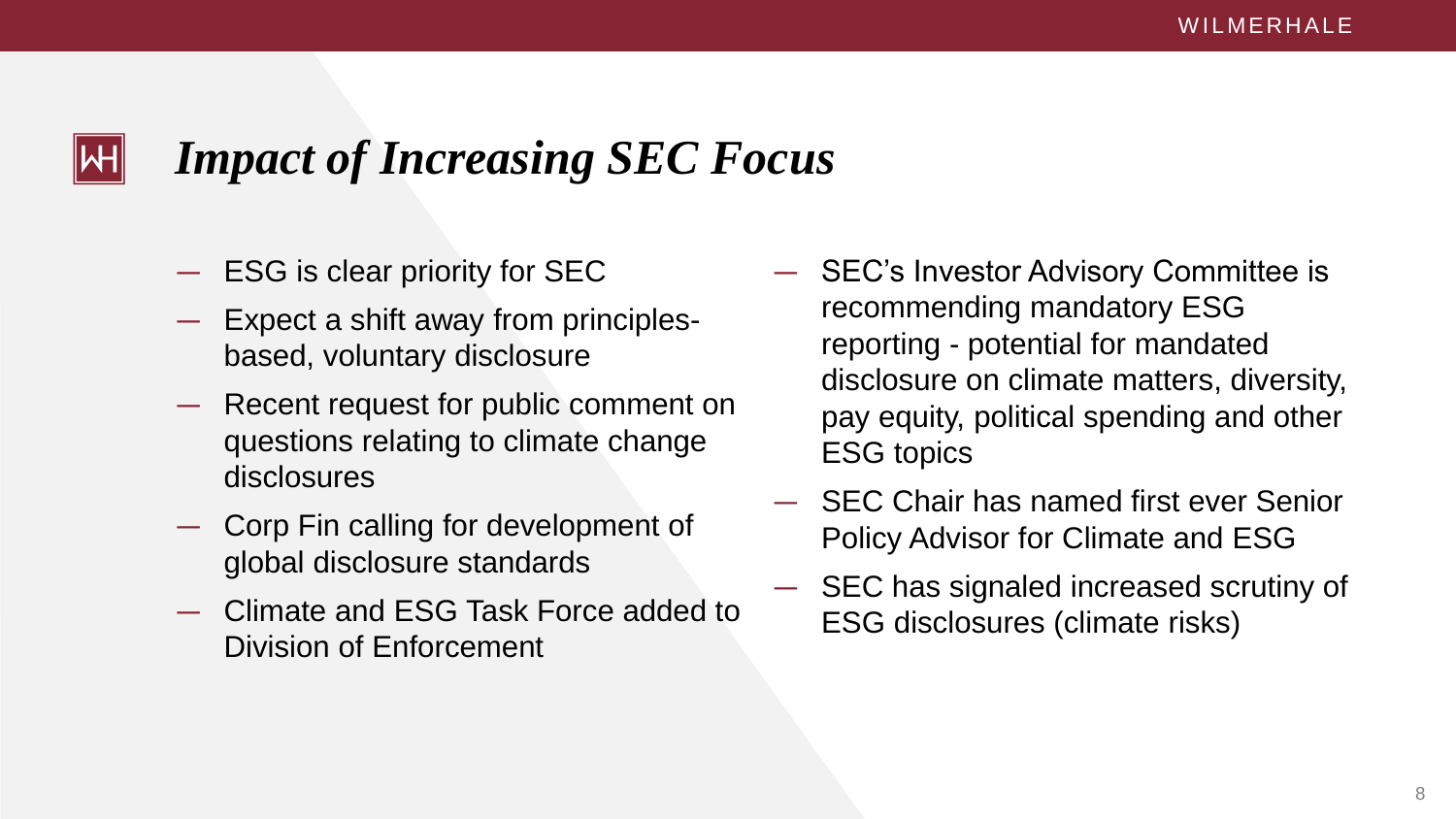## *Impact of Increasing SEC Focus*

- ESG is clear priority for SEC
- Expect a shift away from principlesbased, voluntary disclosure
- Recent request for public comment on questions relating to climate change disclosures
- Corp Fin calling for development of global disclosure standards
- Climate and ESG Task Force added to Division of Enforcement
- SEC's Investor Advisory Committee is recommending mandatory ESG reporting - potential for mandated disclosure on climate matters, diversity, pay equity, political spending and other ESG topics
	-
	-
	-
	-
	- SEC Chair has named first ever Senior Policy Advisor for Climate and ESG
	- SEC has signaled increased scrutiny of ESG disclosures (climate risks)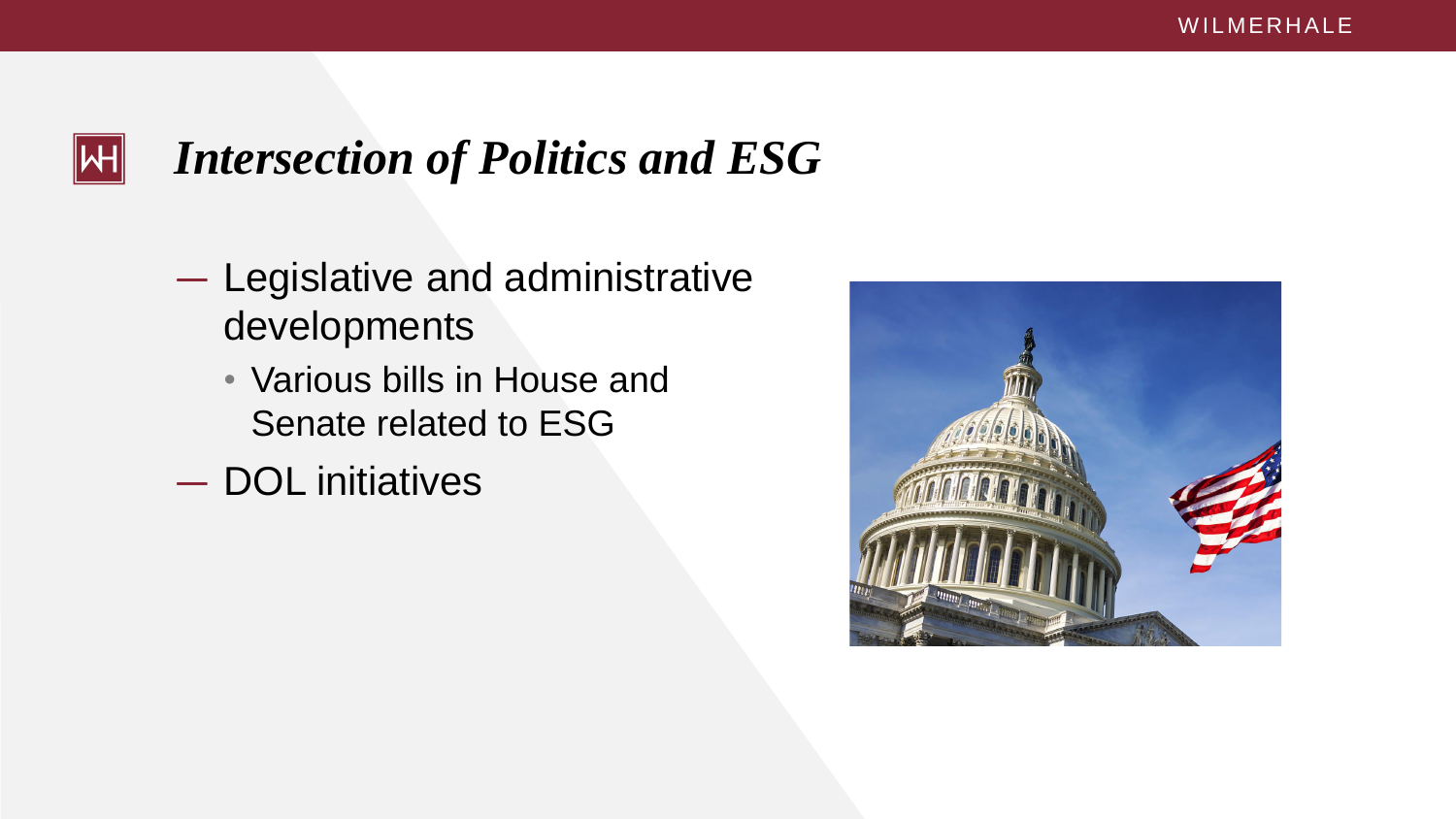

## *Intersection of Politics and ESG*

- Legislative and administrative developments
	- Various bills in House and Senate related to ESG
- DOL initiatives

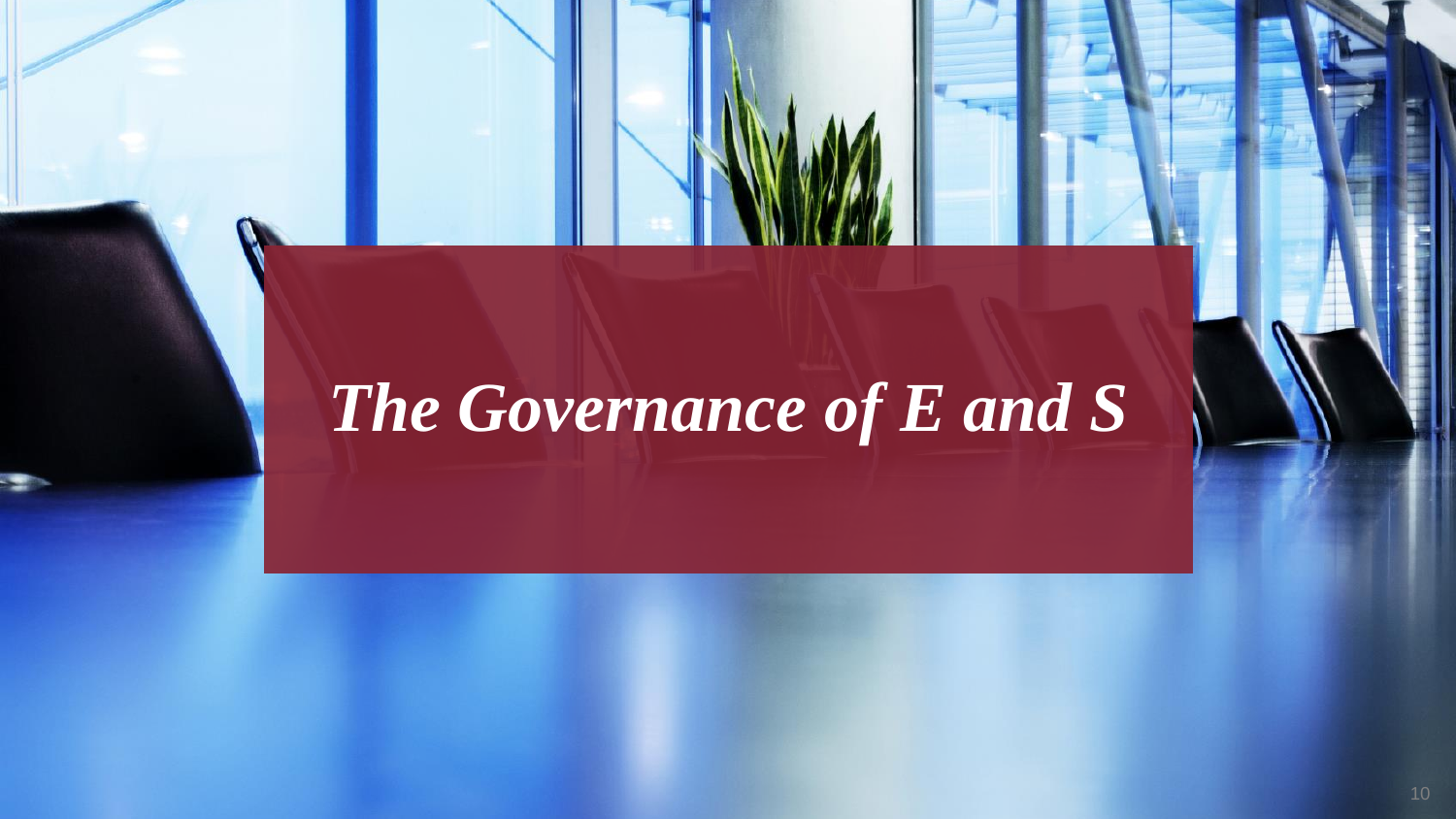# *The Governance of E and S*

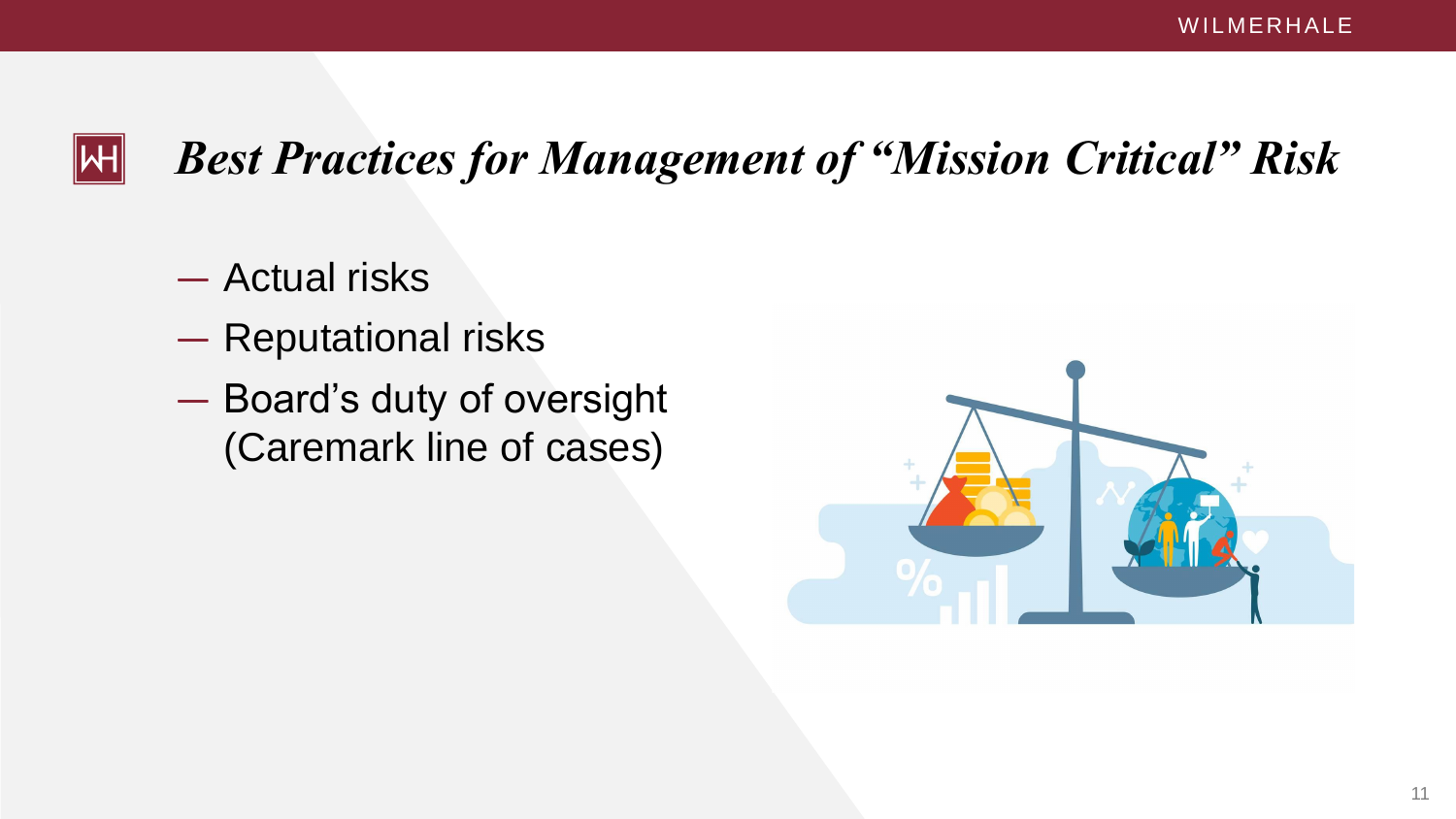

## *Best Practices for Management of "Mission Critical" Risk*

- Actual risks
- Reputational risks
- Board's duty of oversight (Caremark line of cases)

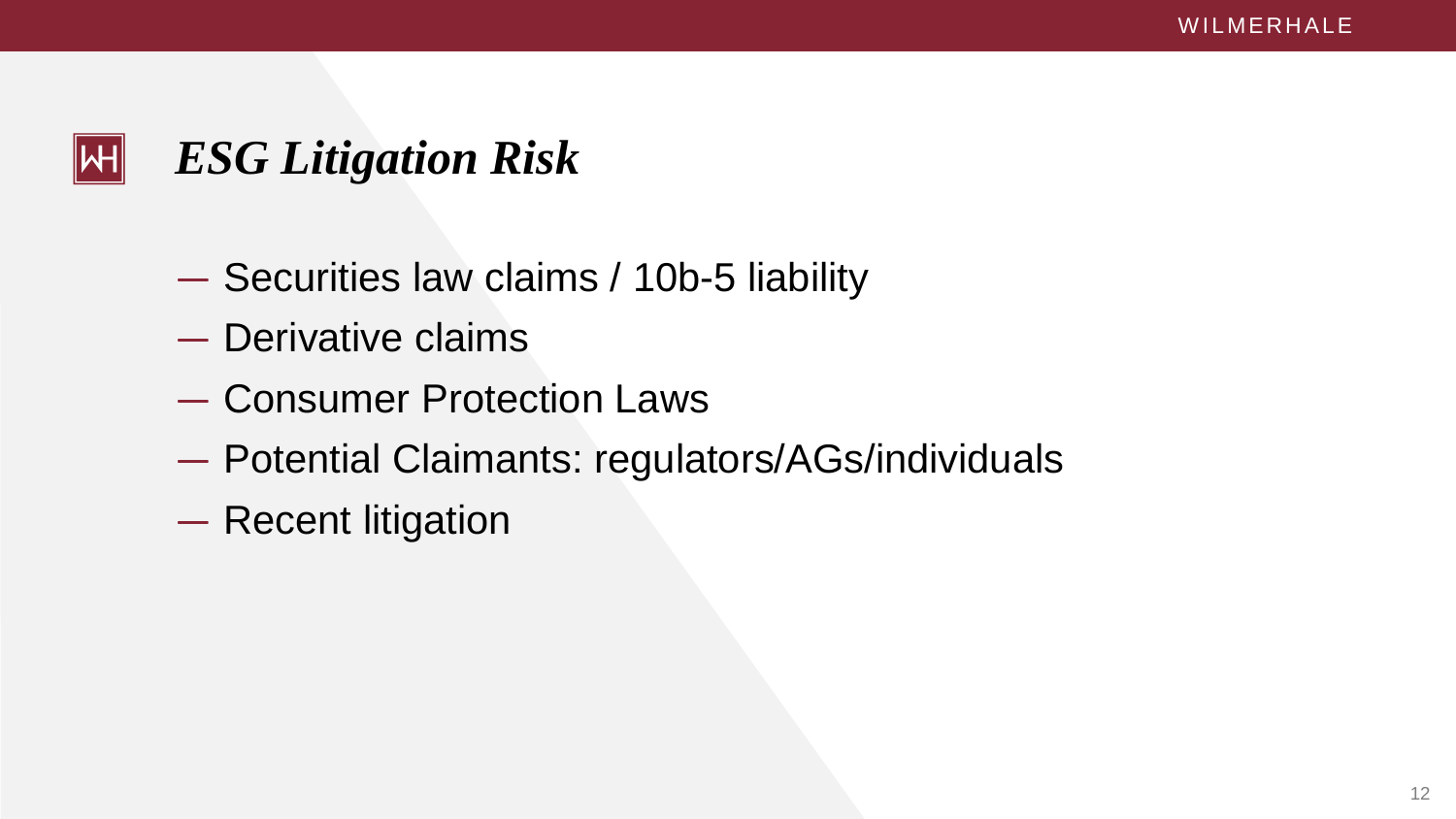## *ESG Litigation Risk*

- Securities law claims / 10b-5 liability
- Derivative claims
- Consumer Protection Laws
- Potential Claimants: regulators/AGs/individuals
- Recent litigation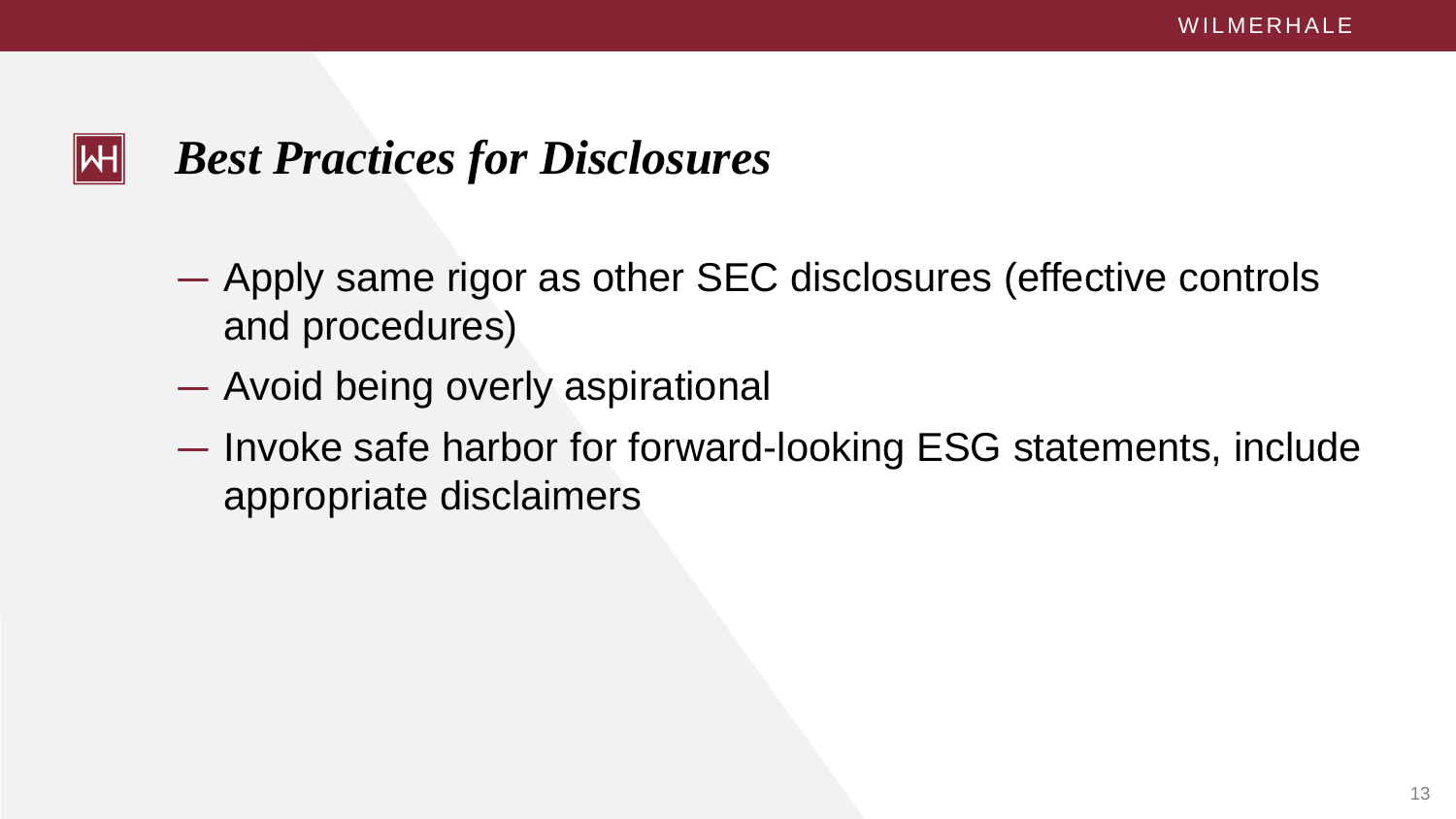## *Best Practices for Disclosures*

- Apply same rigor as other SEC disclosures (effective controls and procedures)
- Avoid being overly aspirational
- Invoke safe harbor for forward-looking ESG statements, include appropriate disclaimers